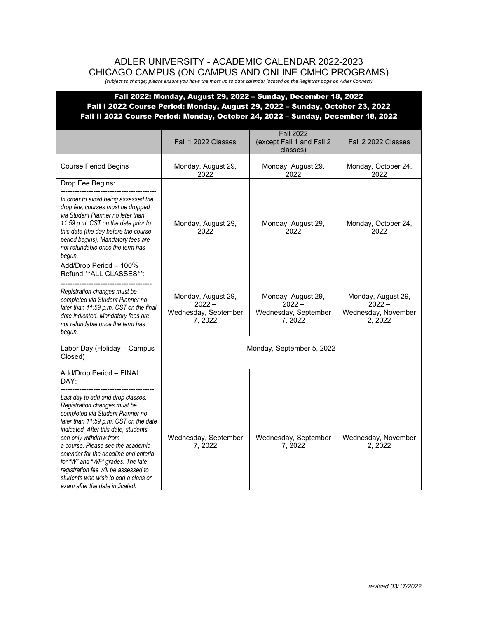## ADLER UNIVERSITY - ACADEMIC CALENDAR 2022-2023 CHICAGO CAMPUS (ON CAMPUS AND ONLINE CMHC PROGRAMS)

*(subject to change; please ensure you have the most up to date calendar located on the Registrar page on Adler Connect)*

|                                                                                                                                                                                                                                                                                                                                                                                                                                                                                          | Fall 1 2022 Classes                                              | <b>Fall 2022</b><br>(except Fall 1 and Fall 2<br>classes)        | Fall 2 2022 Classes                                             |
|------------------------------------------------------------------------------------------------------------------------------------------------------------------------------------------------------------------------------------------------------------------------------------------------------------------------------------------------------------------------------------------------------------------------------------------------------------------------------------------|------------------------------------------------------------------|------------------------------------------------------------------|-----------------------------------------------------------------|
| <b>Course Period Begins</b>                                                                                                                                                                                                                                                                                                                                                                                                                                                              | Monday, August 29,<br>2022                                       | Monday, August 29,<br>2022                                       | Monday, October 24,<br>2022                                     |
| Drop Fee Begins:<br>In order to avoid being assessed the<br>drop fee, courses must be dropped<br>via Student Planner no later than<br>11:59 p.m. CST on the date prior to<br>this date (the day before the course<br>period begins). Mandatory fees are<br>not refundable once the term has<br>begun.                                                                                                                                                                                    | Monday, August 29,<br>2022                                       | Monday, August 29,<br>2022                                       | Monday, October 24,<br>2022                                     |
| Add/Drop Period - 100%<br>Refund ** ALL CLASSES**:<br>Registration changes must be<br>completed via Student Planner no<br>later than 11:59 p.m. CST on the final<br>date indicated. Mandatory fees are<br>not refundable once the term has<br>begun.                                                                                                                                                                                                                                     | Monday, August 29,<br>$2022 -$<br>Wednesday, September<br>7.2022 | Monday, August 29,<br>$2022 -$<br>Wednesday, September<br>7.2022 | Monday, August 29,<br>$2022 -$<br>Wednesday, November<br>2.2022 |
| Labor Day (Holiday - Campus<br>Closed)                                                                                                                                                                                                                                                                                                                                                                                                                                                   |                                                                  | Monday, September 5, 2022                                        |                                                                 |
| Add/Drop Period - FINAL<br>DAY:<br>Last day to add and drop classes.<br>Registration changes must be<br>completed via Student Planner no<br>later than 11:59 p.m. CST on the date<br>indicated. After this date, students<br>can only withdraw from<br>a course. Please see the academic<br>calendar for the deadline and criteria<br>for "W" and "WF" grades. The late<br>registration fee will be assessed to<br>students who wish to add a class or<br>exam after the date indicated. | Wednesday, September<br>7, 2022                                  | Wednesday, September<br>7,2022                                   | Wednesday, November<br>2, 2022                                  |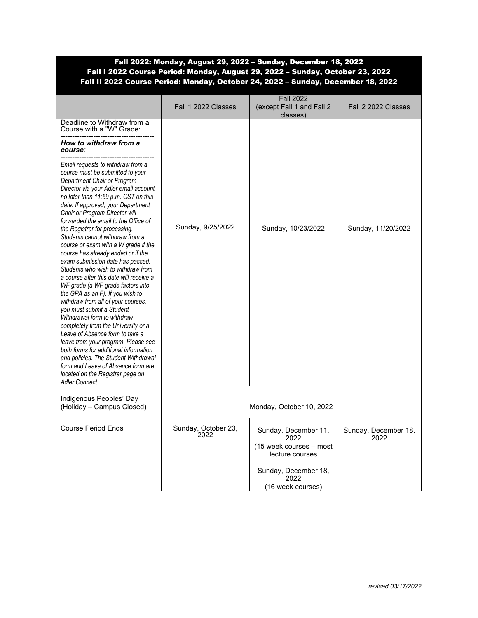|                                                                                                                                                                                                                                                                                                                                                                                                                                                                                                                                                                                                                                                                                                                                                                                                                                                                                                                                                                                                                                                       | Fall 1 2022 Classes         | <b>Fall 2022</b><br>(except Fall 1 and Fall 2)<br>classes)                                         | Fall 2 2022 Classes          |
|-------------------------------------------------------------------------------------------------------------------------------------------------------------------------------------------------------------------------------------------------------------------------------------------------------------------------------------------------------------------------------------------------------------------------------------------------------------------------------------------------------------------------------------------------------------------------------------------------------------------------------------------------------------------------------------------------------------------------------------------------------------------------------------------------------------------------------------------------------------------------------------------------------------------------------------------------------------------------------------------------------------------------------------------------------|-----------------------------|----------------------------------------------------------------------------------------------------|------------------------------|
| Deadline to Withdraw from a<br>Course with a "W" Grade:<br>How to withdraw from a<br>course:                                                                                                                                                                                                                                                                                                                                                                                                                                                                                                                                                                                                                                                                                                                                                                                                                                                                                                                                                          |                             |                                                                                                    |                              |
| Email requests to withdraw from a<br>course must be submitted to your<br>Department Chair or Program<br>Director via your Adler email account<br>no later than 11:59 p.m. CST on this<br>date. If approved, your Department<br>Chair or Program Director will<br>forwarded the email to the Office of<br>the Registrar for processing.<br>Students cannot withdraw from a<br>course or exam with a W grade if the<br>course has already ended or if the<br>exam submission date has passed.<br>Students who wish to withdraw from<br>a course after this date will receive a<br>WF grade (a WF grade factors into<br>the GPA as an F). If you wish to<br>withdraw from all of your courses,<br>vou must submit a Student<br>Withdrawal form to withdraw<br>completely from the University or a<br>Leave of Absence form to take a<br>leave from your program. Please see<br>both forms for additional information<br>and policies. The Student Withdrawal<br>form and Leave of Absence form are<br>located on the Registrar page on<br>Adler Connect. | Sunday, 9/25/2022           | Sunday, 10/23/2022                                                                                 | Sunday, 11/20/2022           |
| Indigenous Peoples' Day<br>(Holiday - Campus Closed)                                                                                                                                                                                                                                                                                                                                                                                                                                                                                                                                                                                                                                                                                                                                                                                                                                                                                                                                                                                                  |                             | Monday, October 10, 2022                                                                           |                              |
| <b>Course Period Ends</b>                                                                                                                                                                                                                                                                                                                                                                                                                                                                                                                                                                                                                                                                                                                                                                                                                                                                                                                                                                                                                             | Sunday, October 23,<br>2022 | Sunday, December 11,<br>2022<br>(15 week courses - most<br>lecture courses<br>Sunday, December 18, | Sunday, December 18,<br>2022 |
|                                                                                                                                                                                                                                                                                                                                                                                                                                                                                                                                                                                                                                                                                                                                                                                                                                                                                                                                                                                                                                                       |                             | 2022<br>(16 week courses)                                                                          |                              |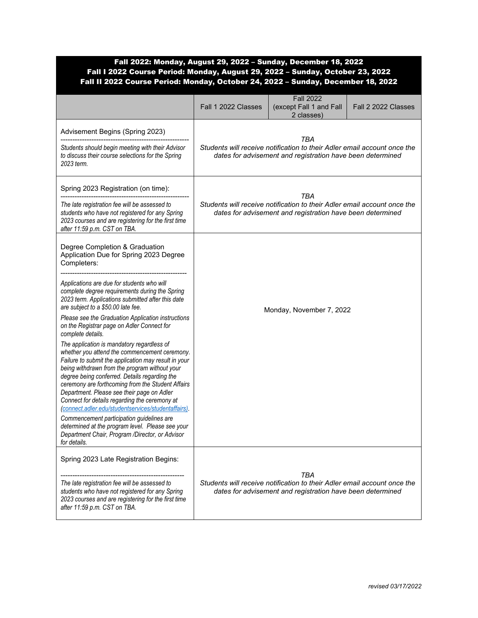|                                                                                                                                                                                                                                                                                                                                                                                                                                                                                                                                                                                                                                                                                                                                                                                                                                                                                                                                                                                                                                                     | Fall 1 2022 Classes                                                                                                                                  | <b>Fall 2022</b><br>(except Fall 1 and Fall<br>2 classes) | Fall 2 2022 Classes |
|-----------------------------------------------------------------------------------------------------------------------------------------------------------------------------------------------------------------------------------------------------------------------------------------------------------------------------------------------------------------------------------------------------------------------------------------------------------------------------------------------------------------------------------------------------------------------------------------------------------------------------------------------------------------------------------------------------------------------------------------------------------------------------------------------------------------------------------------------------------------------------------------------------------------------------------------------------------------------------------------------------------------------------------------------------|------------------------------------------------------------------------------------------------------------------------------------------------------|-----------------------------------------------------------|---------------------|
| Advisement Begins (Spring 2023)<br>Students should begin meeting with their Advisor<br>to discuss their course selections for the Spring<br>2023 term.                                                                                                                                                                                                                                                                                                                                                                                                                                                                                                                                                                                                                                                                                                                                                                                                                                                                                              | <b>TBA</b><br>Students will receive notification to their Adler email account once the<br>dates for advisement and registration have been determined |                                                           |                     |
| Spring 2023 Registration (on time):<br>The late registration fee will be assessed to<br>students who have not registered for any Spring<br>2023 courses and are registering for the first time<br>after 11:59 p.m. CST on TBA.                                                                                                                                                                                                                                                                                                                                                                                                                                                                                                                                                                                                                                                                                                                                                                                                                      | <b>TBA</b><br>Students will receive notification to their Adler email account once the<br>dates for advisement and registration have been determined |                                                           |                     |
| Degree Completion & Graduation<br>Application Due for Spring 2023 Degree<br>Completers:<br>Applications are due for students who will<br>complete degree requirements during the Spring<br>2023 term. Applications submitted after this date<br>are subject to a \$50.00 late fee.<br>Please see the Graduation Application instructions<br>on the Registrar page on Adler Connect for<br>complete details.<br>The application is mandatory regardless of<br>whether you attend the commencement ceremony.<br>Failure to submit the application may result in your<br>being withdrawn from the program without your<br>degree being conferred. Details regarding the<br>ceremony are forthcoming from the Student Affairs<br>Department. Please see their page on Adler<br>Connect for details regarding the ceremony at<br>(connect.adler.edu/studentservices/studentaffairs).<br>Commencement participation guidelines are<br>determined at the program level. Please see your<br>Department Chair, Program /Director, or Advisor<br>for details. | Monday, November 7, 2022                                                                                                                             |                                                           |                     |
| Spring 2023 Late Registration Begins:<br>The late registration fee will be assessed to<br>students who have not registered for any Spring<br>2023 courses and are registering for the first time<br>after 11:59 p.m. CST on TBA.                                                                                                                                                                                                                                                                                                                                                                                                                                                                                                                                                                                                                                                                                                                                                                                                                    | TBA<br>Students will receive notification to their Adler email account once the<br>dates for advisement and registration have been determined        |                                                           |                     |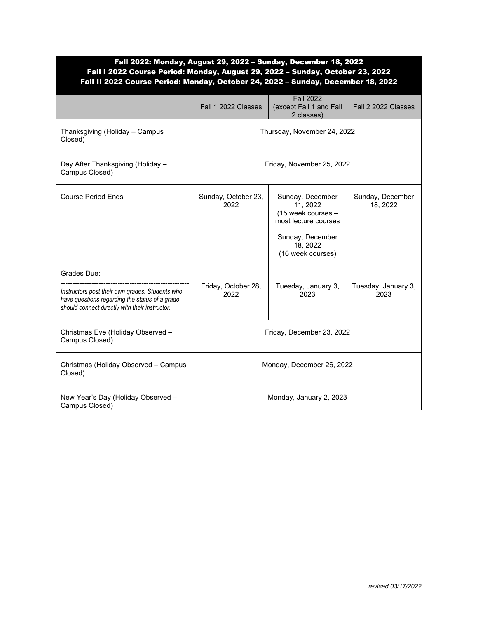|                                                                                                                                                                    | Fall 1 2022 Classes         | <b>Fall 2022</b><br>(except Fall 1 and Fall<br>2 classes)                                                                       | Fall 2 2022 Classes          |
|--------------------------------------------------------------------------------------------------------------------------------------------------------------------|-----------------------------|---------------------------------------------------------------------------------------------------------------------------------|------------------------------|
| Thanksgiving (Holiday - Campus<br>Closed)                                                                                                                          | Thursday, November 24, 2022 |                                                                                                                                 |                              |
| Day After Thanksgiving (Holiday -<br>Campus Closed)                                                                                                                | Friday, November 25, 2022   |                                                                                                                                 |                              |
| <b>Course Period Ends</b>                                                                                                                                          | Sunday, October 23,<br>2022 | Sunday, December<br>11, 2022<br>(15 week courses -<br>most lecture courses<br>Sunday, December<br>18, 2022<br>(16 week courses) | Sunday, December<br>18, 2022 |
| Grades Due:<br>Instructors post their own grades. Students who<br>have questions regarding the status of a grade<br>should connect directly with their instructor. | Friday, October 28,<br>2022 | Tuesday, January 3,<br>2023                                                                                                     | Tuesday, January 3,<br>2023  |
| Christmas Eve (Holiday Observed -<br>Campus Closed)                                                                                                                | Friday, December 23, 2022   |                                                                                                                                 |                              |
| Christmas (Holiday Observed - Campus<br>Closed)                                                                                                                    | Monday, December 26, 2022   |                                                                                                                                 |                              |
| New Year's Day (Holiday Observed -<br>Campus Closed)                                                                                                               | Monday, January 2, 2023     |                                                                                                                                 |                              |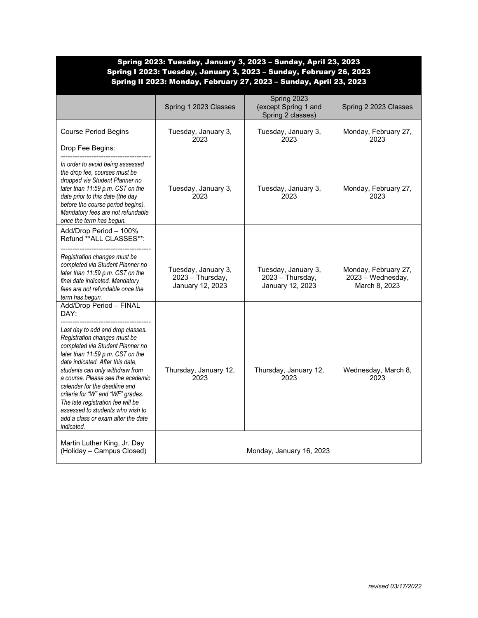|                                                                                                                                                                                                                                                                                                                                                                                                                                                                                             |                                                             | Spring I 2023: Tuesday, January 3, 2023 - Sunday, February 26, 2023<br>Spring II 2023: Monday, February 27, 2023 - Sunday, April 23, 2023 |                                                            |
|---------------------------------------------------------------------------------------------------------------------------------------------------------------------------------------------------------------------------------------------------------------------------------------------------------------------------------------------------------------------------------------------------------------------------------------------------------------------------------------------|-------------------------------------------------------------|-------------------------------------------------------------------------------------------------------------------------------------------|------------------------------------------------------------|
|                                                                                                                                                                                                                                                                                                                                                                                                                                                                                             | Spring 1 2023 Classes                                       | Spring 2023<br>(except Spring 1 and<br>Spring 2 classes)                                                                                  | Spring 2 2023 Classes                                      |
| <b>Course Period Begins</b>                                                                                                                                                                                                                                                                                                                                                                                                                                                                 | Tuesday, January 3,<br>2023                                 | Tuesday, January 3,<br>2023                                                                                                               | Monday, February 27,<br>2023                               |
| Drop Fee Begins:                                                                                                                                                                                                                                                                                                                                                                                                                                                                            |                                                             |                                                                                                                                           |                                                            |
| In order to avoid being assessed<br>the drop fee, courses must be<br>dropped via Student Planner no<br>later than 11:59 p.m. CST on the<br>date prior to this date (the day<br>before the course period begins).<br>Mandatory fees are not refundable<br>once the term has begun.                                                                                                                                                                                                           | Tuesday, January 3,<br>2023                                 | Tuesday, January 3,<br>2023                                                                                                               | Monday, February 27,<br>2023                               |
| Add/Drop Period - 100%<br>Refund ** ALL CLASSES**:<br>Registration changes must be<br>completed via Student Planner no<br>later than 11:59 p.m. CST on the<br>final date indicated. Mandatory                                                                                                                                                                                                                                                                                               | Tuesday, January 3,<br>2023 - Thursday,<br>January 12, 2023 | Tuesday, January 3,<br>2023 - Thursday,<br>January 12, 2023                                                                               | Monday, February 27,<br>2023 - Wednesday,<br>March 8, 2023 |
| fees are not refundable once the<br>term has begun.                                                                                                                                                                                                                                                                                                                                                                                                                                         |                                                             |                                                                                                                                           |                                                            |
| Add/Drop Period - FINAL<br>DAY:<br>Last day to add and drop classes.<br>Registration changes must be<br>completed via Student Planner no<br>later than 11:59 p.m. CST on the<br>date indicated. After this date,<br>students can only withdraw from<br>a course. Please see the academic<br>calendar for the deadline and<br>criteria for "W" and "WF" grades.<br>The late registration fee will be<br>assessed to students who wish to<br>add a class or exam after the date<br>indicated. | Thursday, January 12,<br>2023                               | Thursday, January 12,<br>2023                                                                                                             | Wednesday, March 8,<br>2023                                |
| Martin Luther King, Jr. Day<br>(Holiday - Campus Closed)                                                                                                                                                                                                                                                                                                                                                                                                                                    |                                                             | Monday, January 16, 2023                                                                                                                  |                                                            |

# Spring 2023: Tuesday, January 3, 2023 – Sunday, April 23, 2023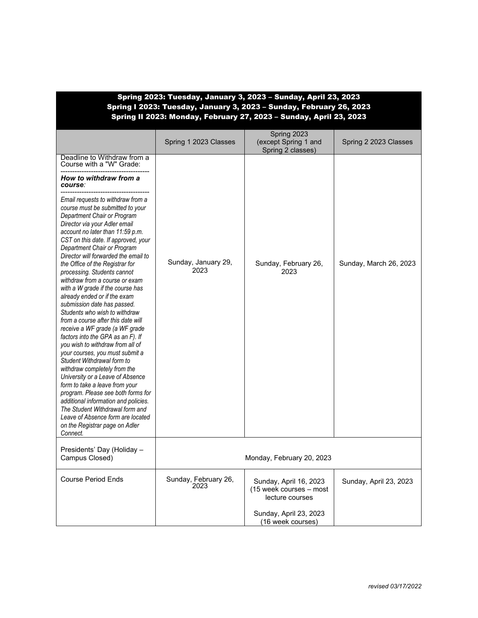| Spring 2023: Tuesday, January 3, 2023 - Sunday, April 23, 2023<br>Spring I 2023: Tuesday, January 3, 2023 - Sunday, February 26, 2023<br>Spring II 2023: Monday, February 27, 2023 - Sunday, April 23, 2023                                                                                                                                                                                                                                                                                                                                                                                                                                                                                                                                                                                                                                                                                                                                                                                                                                                 |                              |                                                                                                |                        |
|-------------------------------------------------------------------------------------------------------------------------------------------------------------------------------------------------------------------------------------------------------------------------------------------------------------------------------------------------------------------------------------------------------------------------------------------------------------------------------------------------------------------------------------------------------------------------------------------------------------------------------------------------------------------------------------------------------------------------------------------------------------------------------------------------------------------------------------------------------------------------------------------------------------------------------------------------------------------------------------------------------------------------------------------------------------|------------------------------|------------------------------------------------------------------------------------------------|------------------------|
|                                                                                                                                                                                                                                                                                                                                                                                                                                                                                                                                                                                                                                                                                                                                                                                                                                                                                                                                                                                                                                                             | Spring 1 2023 Classes        | Spring 2023<br>(except Spring 1 and<br>Spring 2 classes)                                       | Spring 2 2023 Classes  |
| Deadline to Withdraw from a<br>Course with a "W" Grade:                                                                                                                                                                                                                                                                                                                                                                                                                                                                                                                                                                                                                                                                                                                                                                                                                                                                                                                                                                                                     |                              |                                                                                                |                        |
| How to withdraw from a<br>course:                                                                                                                                                                                                                                                                                                                                                                                                                                                                                                                                                                                                                                                                                                                                                                                                                                                                                                                                                                                                                           |                              |                                                                                                |                        |
| Email requests to withdraw from a<br>course must be submitted to your<br>Department Chair or Program<br>Director via your Adler email<br>account no later than 11:59 p.m.<br>CST on this date. If approved, your<br>Department Chair or Program<br>Director will forwarded the email to<br>the Office of the Registrar for<br>processing. Students cannot<br>withdraw from a course or exam<br>with a W grade if the course has<br>already ended or if the exam<br>submission date has passed.<br>Students who wish to withdraw<br>from a course after this date will<br>receive a WF grade (a WF grade<br>factors into the GPA as an F). If<br>you wish to withdraw from all of<br>your courses, you must submit a<br>Student Withdrawal form to<br>withdraw completely from the<br>University or a Leave of Absence<br>form to take a leave from your<br>program. Please see both forms for<br>additional information and policies.<br>The Student Withdrawal form and<br>Leave of Absence form are located<br>on the Registrar page on Adler<br>Connect. | Sunday, January 29,<br>2023  | Sunday, February 26,<br>2023                                                                   | Sunday, March 26, 2023 |
| Presidents' Day (Holiday -<br>Campus Closed)                                                                                                                                                                                                                                                                                                                                                                                                                                                                                                                                                                                                                                                                                                                                                                                                                                                                                                                                                                                                                |                              | Monday, February 20, 2023                                                                      |                        |
| <b>Course Period Ends</b>                                                                                                                                                                                                                                                                                                                                                                                                                                                                                                                                                                                                                                                                                                                                                                                                                                                                                                                                                                                                                                   | Sunday, February 26,<br>2023 | Sunday, April 16, 2023<br>(15 week courses - most<br>lecture courses<br>Sunday, April 23, 2023 | Sunday, April 23, 2023 |
|                                                                                                                                                                                                                                                                                                                                                                                                                                                                                                                                                                                                                                                                                                                                                                                                                                                                                                                                                                                                                                                             |                              | (16 week courses)                                                                              |                        |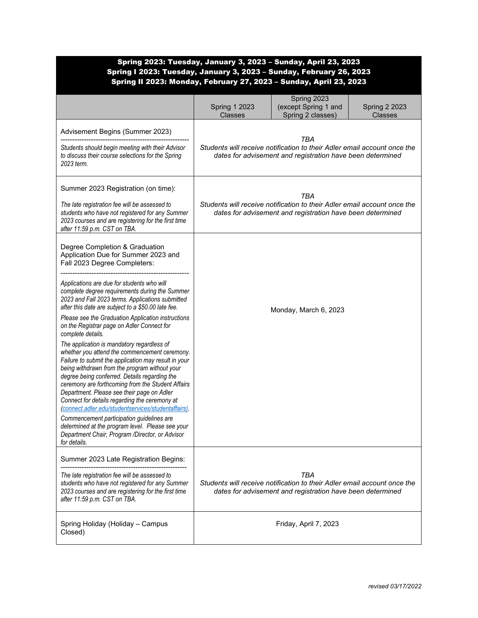| Spring I 2023: Tuesday, January 3, 2023 - Sunday, February 26, 2023<br>Spring II 2023: Monday, February 27, 2023 - Sunday, April 23, 2023                                                                                                                                                                                                                                                                                                                       |                                        | Spring 2023: Tuesday, January 3, 2023 - Sunday, April 23, 2023                                                                                |                                        |
|-----------------------------------------------------------------------------------------------------------------------------------------------------------------------------------------------------------------------------------------------------------------------------------------------------------------------------------------------------------------------------------------------------------------------------------------------------------------|----------------------------------------|-----------------------------------------------------------------------------------------------------------------------------------------------|----------------------------------------|
|                                                                                                                                                                                                                                                                                                                                                                                                                                                                 | <b>Spring 1 2023</b><br><b>Classes</b> | Spring 2023<br>(except Spring 1 and<br>Spring 2 classes)                                                                                      | <b>Spring 2 2023</b><br><b>Classes</b> |
| Advisement Begins (Summer 2023)                                                                                                                                                                                                                                                                                                                                                                                                                                 |                                        | TBA                                                                                                                                           |                                        |
| Students should begin meeting with their Advisor<br>to discuss their course selections for the Spring<br>2023 term.                                                                                                                                                                                                                                                                                                                                             |                                        | Students will receive notification to their Adler email account once the<br>dates for advisement and registration have been determined        |                                        |
| Summer 2023 Registration (on time):                                                                                                                                                                                                                                                                                                                                                                                                                             |                                        | TBA                                                                                                                                           |                                        |
| The late registration fee will be assessed to<br>students who have not registered for any Summer<br>2023 courses and are registering for the first time<br>after 11:59 p.m. CST on TBA.                                                                                                                                                                                                                                                                         |                                        | Students will receive notification to their Adler email account once the<br>dates for advisement and registration have been determined        |                                        |
| Degree Completion & Graduation<br>Application Due for Summer 2023 and<br>Fall 2023 Degree Completers:                                                                                                                                                                                                                                                                                                                                                           |                                        |                                                                                                                                               |                                        |
| Applications are due for students who will<br>complete degree requirements during the Summer<br>2023 and Fall 2023 terms. Applications submitted<br>after this date are subject to a \$50.00 late fee.                                                                                                                                                                                                                                                          |                                        | Monday, March 6, 2023                                                                                                                         |                                        |
| Please see the Graduation Application instructions<br>on the Registrar page on Adler Connect for<br>complete details.                                                                                                                                                                                                                                                                                                                                           |                                        |                                                                                                                                               |                                        |
| The application is mandatory regardless of<br>whether you attend the commencement ceremony.<br>Failure to submit the application may result in your<br>being withdrawn from the program without your<br>degree being conferred. Details regarding the<br>ceremony are forthcoming from the Student Affairs<br>Department. Please see their page on Adler<br>Connect for details regarding the ceremony at<br>connect.adler.edu/studentservices/studentaffairs). |                                        |                                                                                                                                               |                                        |
| Commencement participation guidelines are<br>determined at the program level. Please see your<br>Department Chair, Program /Director, or Advisor<br>for details.                                                                                                                                                                                                                                                                                                |                                        |                                                                                                                                               |                                        |
| Summer 2023 Late Registration Begins:                                                                                                                                                                                                                                                                                                                                                                                                                           |                                        |                                                                                                                                               |                                        |
| The late registration fee will be assessed to<br>students who have not registered for any Summer<br>2023 courses and are registering for the first time<br>after 11:59 p.m. CST on TBA.                                                                                                                                                                                                                                                                         |                                        | TBA<br>Students will receive notification to their Adler email account once the<br>dates for advisement and registration have been determined |                                        |
| Spring Holiday (Holiday - Campus<br>Closed)                                                                                                                                                                                                                                                                                                                                                                                                                     |                                        | Friday, April 7, 2023                                                                                                                         |                                        |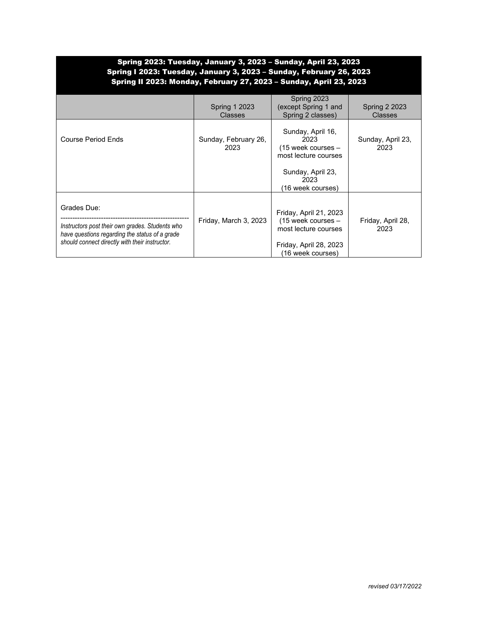## Spring 2023: Tuesday, January 3, 2023 – Sunday, April 23, 2023 Spring I 2023: Tuesday, January 3, 2023 – Sunday, February 26, 2023 Spring II 2023: Monday, February 27, 2023 – Sunday, April 23, 2023

|                                                                                                                                                                    | <b>Spring 1 2023</b><br>Classes | Spring 2023<br>(except Spring 1 and<br>Spring 2 classes)                                                                | <b>Spring 2 2023</b><br><b>Classes</b> |
|--------------------------------------------------------------------------------------------------------------------------------------------------------------------|---------------------------------|-------------------------------------------------------------------------------------------------------------------------|----------------------------------------|
| <b>Course Period Ends</b>                                                                                                                                          | Sunday, February 26,<br>2023    | Sunday, April 16,<br>2023<br>$(15$ week courses $-$<br>most lecture courses                                             | Sunday, April 23,<br>2023              |
|                                                                                                                                                                    |                                 | Sunday, April 23,<br>2023<br>(16 week courses)                                                                          |                                        |
| Grades Due:<br>Instructors post their own grades. Students who<br>have questions regarding the status of a grade<br>should connect directly with their instructor. | Friday, March 3, 2023           | Friday, April 21, 2023<br>$(15$ week courses $-$<br>most lecture courses<br>Friday, April 28, 2023<br>(16 week courses) | Friday, April 28,<br>2023              |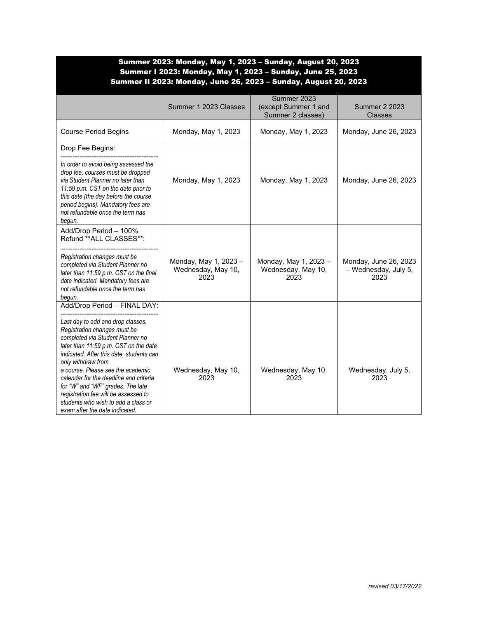| Summer 2023: Monday, May 1, 2023 - Sunday, August 20, 2023<br>Summer I 2023: Monday, May 1, 2023 - Sunday, June 25, 2023<br>Summer II 2023: Monday, June 26, 2023 - Sunday, August 20, 2023                                                                                                                                                                                                                                                                                           |                                                     |                                                          |                                                       |
|---------------------------------------------------------------------------------------------------------------------------------------------------------------------------------------------------------------------------------------------------------------------------------------------------------------------------------------------------------------------------------------------------------------------------------------------------------------------------------------|-----------------------------------------------------|----------------------------------------------------------|-------------------------------------------------------|
|                                                                                                                                                                                                                                                                                                                                                                                                                                                                                       | Summer 1 2023 Classes                               | Summer 2023<br>(except Summer 1 and<br>Summer 2 classes) | <b>Summer 2 2023</b><br><b>Classes</b>                |
| <b>Course Period Begins</b>                                                                                                                                                                                                                                                                                                                                                                                                                                                           | Monday, May 1, 2023                                 | Monday, May 1, 2023                                      | Monday, June 26, 2023                                 |
| Drop Fee Begins:                                                                                                                                                                                                                                                                                                                                                                                                                                                                      |                                                     |                                                          |                                                       |
| In order to avoid being assessed the<br>drop fee, courses must be dropped<br>via Student Planner no later than<br>11:59 p.m. CST on the date prior to<br>this date (the day before the course<br>period begins). Mandatory fees are<br>not refundable once the term has<br>begun.                                                                                                                                                                                                     | Monday, May 1, 2023                                 | Monday, May 1, 2023                                      | Monday, June 26, 2023                                 |
| Add/Drop Period - 100%<br>Refund ** ALL CLASSES**:<br>Registration changes must be<br>completed via Student Planner no<br>later than 11:59 p.m. CST on the final<br>date indicated. Mandatory fees are<br>not refundable once the term has<br>begun.                                                                                                                                                                                                                                  | Monday, May 1, 2023 -<br>Wednesday, May 10,<br>2023 | Monday, May 1, 2023 -<br>Wednesday, May 10,<br>2023      | Monday, June 26, 2023<br>- Wednesday, July 5,<br>2023 |
| Add/Drop Period - FINAL DAY:<br>Last day to add and drop classes.<br>Registration changes must be<br>completed via Student Planner no<br>later than 11:59 p.m. CST on the date<br>indicated. After this date, students can<br>only withdraw from<br>a course. Please see the academic<br>calendar for the deadline and criteria<br>for "W" and "WF" grades. The late<br>registration fee will be assessed to<br>students who wish to add a class or<br>exam after the date indicated. | Wednesday, May 10,<br>2023                          | Wednesday, May 10,<br>2023                               | Wednesday, July 5,<br>2023                            |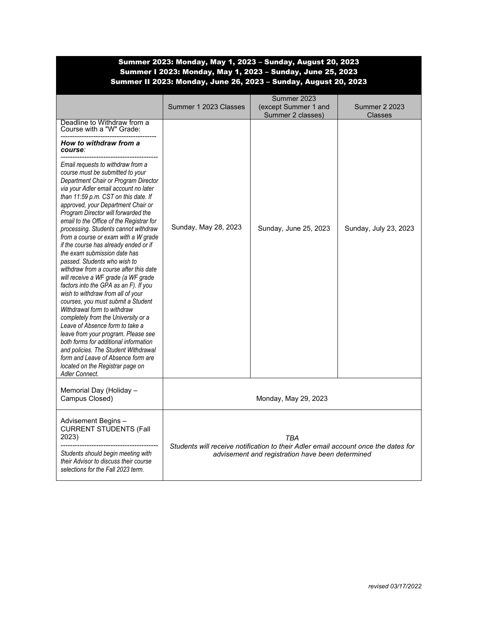| Summer 2023: Monday, May 1, 2023 – Sunday, August 20, 2023<br>Summer I 2023: Monday, May 1, 2023 - Sunday, June 25, 2023<br>Summer II 2023: Monday, June 26, 2023 - Sunday, August 20, 2023                                                                                                                                                                                                                                                                                                                                                                                                                                                                                                                                                                                                                                                                                                                                                                                                                                                               |                       |                                                                                           |                                        |
|-----------------------------------------------------------------------------------------------------------------------------------------------------------------------------------------------------------------------------------------------------------------------------------------------------------------------------------------------------------------------------------------------------------------------------------------------------------------------------------------------------------------------------------------------------------------------------------------------------------------------------------------------------------------------------------------------------------------------------------------------------------------------------------------------------------------------------------------------------------------------------------------------------------------------------------------------------------------------------------------------------------------------------------------------------------|-----------------------|-------------------------------------------------------------------------------------------|----------------------------------------|
|                                                                                                                                                                                                                                                                                                                                                                                                                                                                                                                                                                                                                                                                                                                                                                                                                                                                                                                                                                                                                                                           | Summer 1 2023 Classes | Summer 2023<br>(except Summer 1 and<br>Summer 2 classes)                                  | <b>Summer 2 2023</b><br><b>Classes</b> |
| Deadline to Withdraw from a<br>Course with a "W" Grade:                                                                                                                                                                                                                                                                                                                                                                                                                                                                                                                                                                                                                                                                                                                                                                                                                                                                                                                                                                                                   |                       |                                                                                           |                                        |
| How to withdraw from a<br>course:                                                                                                                                                                                                                                                                                                                                                                                                                                                                                                                                                                                                                                                                                                                                                                                                                                                                                                                                                                                                                         |                       |                                                                                           |                                        |
| Email requests to withdraw from a<br>course must be submitted to your<br>Department Chair or Program Director<br>via your Adler email account no later<br>than 11:59 p.m. CST on this date. If<br>approved, your Department Chair or<br>Program Director will forwarded the<br>email to the Office of the Registrar for<br>processing. Students cannot withdraw<br>from a course or exam with a W grade<br>if the course has already ended or if<br>the exam submission date has<br>passed. Students who wish to<br>withdraw from a course after this date<br>will receive a WF grade (a WF grade<br>factors into the GPA as an F). If you<br>wish to withdraw from all of your<br>courses, you must submit a Student<br>Withdrawal form to withdraw<br>completely from the University or a<br>Leave of Absence form to take a<br>leave from your program. Please see<br>both forms for additional information<br>and policies. The Student Withdrawal<br>form and Leave of Absence form are<br>located on the Registrar page on<br><b>Adler Connect.</b> | Sunday, May 28, 2023  | Sunday, June 25, 2023                                                                     | Sunday, July 23, 2023                  |
| Memorial Day (Holiday -<br>Campus Closed)                                                                                                                                                                                                                                                                                                                                                                                                                                                                                                                                                                                                                                                                                                                                                                                                                                                                                                                                                                                                                 |                       | Monday, May 29, 2023                                                                      |                                        |
| Advisement Begins-<br><b>CURRENT STUDENTS (Fall</b><br>2023)                                                                                                                                                                                                                                                                                                                                                                                                                                                                                                                                                                                                                                                                                                                                                                                                                                                                                                                                                                                              |                       | TBA<br>Students will receive notification to their Adler email account once the dates for |                                        |
| Students should begin meeting with<br>their Advisor to discuss their course<br>selections for the Fall 2023 term.                                                                                                                                                                                                                                                                                                                                                                                                                                                                                                                                                                                                                                                                                                                                                                                                                                                                                                                                         |                       | advisement and registration have been determined                                          |                                        |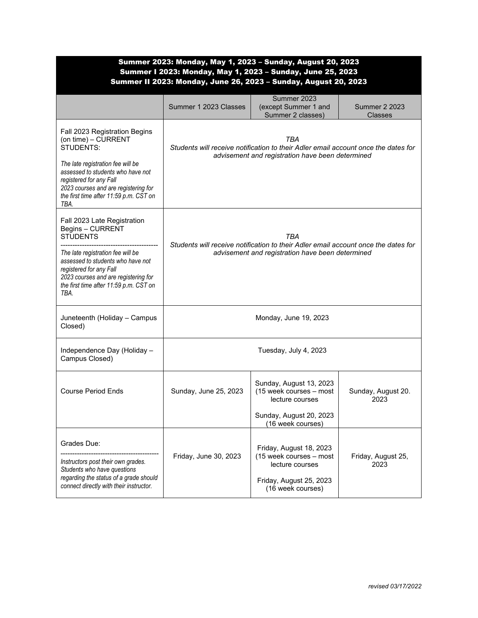| Summer 2023: Monday, May 1, 2023 - Sunday, August 20, 2023<br>Summer I 2023: Monday, May 1, 2023 - Sunday, June 25, 2023<br>Summer II 2023: Monday, June 26, 2023 - Sunday, August 20, 2023                                                                       |                                                                                                                                               |                                                                                                                       |                                        |
|-------------------------------------------------------------------------------------------------------------------------------------------------------------------------------------------------------------------------------------------------------------------|-----------------------------------------------------------------------------------------------------------------------------------------------|-----------------------------------------------------------------------------------------------------------------------|----------------------------------------|
|                                                                                                                                                                                                                                                                   | Summer 1 2023 Classes                                                                                                                         | Summer 2023<br>(except Summer 1 and<br>Summer 2 classes)                                                              | <b>Summer 2 2023</b><br><b>Classes</b> |
| Fall 2023 Registration Begins<br>(on time) - CURRENT<br>STUDENTS:<br>The late registration fee will be<br>assessed to students who have not<br>registered for any Fall<br>2023 courses and are registering for<br>the first time after 11:59 p.m. CST on<br>TBA.  | TBA<br>Students will receive notification to their Adler email account once the dates for<br>advisement and registration have been determined |                                                                                                                       |                                        |
| Fall 2023 Late Registration<br>Begins - CURRENT<br><b>STUDENTS</b><br>The late registration fee will be<br>assessed to students who have not<br>registered for any Fall<br>2023 courses and are registering for<br>the first time after 11:59 p.m. CST on<br>TBA. | TBA<br>Students will receive notification to their Adler email account once the dates for<br>advisement and registration have been determined |                                                                                                                       |                                        |
| Juneteenth (Holiday - Campus<br>Closed)                                                                                                                                                                                                                           |                                                                                                                                               | Monday, June 19, 2023                                                                                                 |                                        |
| Independence Day (Holiday -<br>Campus Closed)                                                                                                                                                                                                                     |                                                                                                                                               | Tuesday, July 4, 2023                                                                                                 |                                        |
| <b>Course Period Ends</b>                                                                                                                                                                                                                                         | Sunday, June 25, 2023                                                                                                                         | Sunday, August 13, 2023<br>(15 week courses - most<br>lecture courses<br>Sunday, August 20, 2023<br>(16 week courses) | Sunday, August 20.<br>2023             |
| Grades Due:<br>Instructors post their own grades.<br>Students who have questions<br>regarding the status of a grade should<br>connect directly with their instructor.                                                                                             | Friday, June 30, 2023                                                                                                                         | Friday, August 18, 2023<br>(15 week courses - most<br>lecture courses<br>Friday, August 25, 2023<br>(16 week courses) | Friday, August 25,<br>2023             |